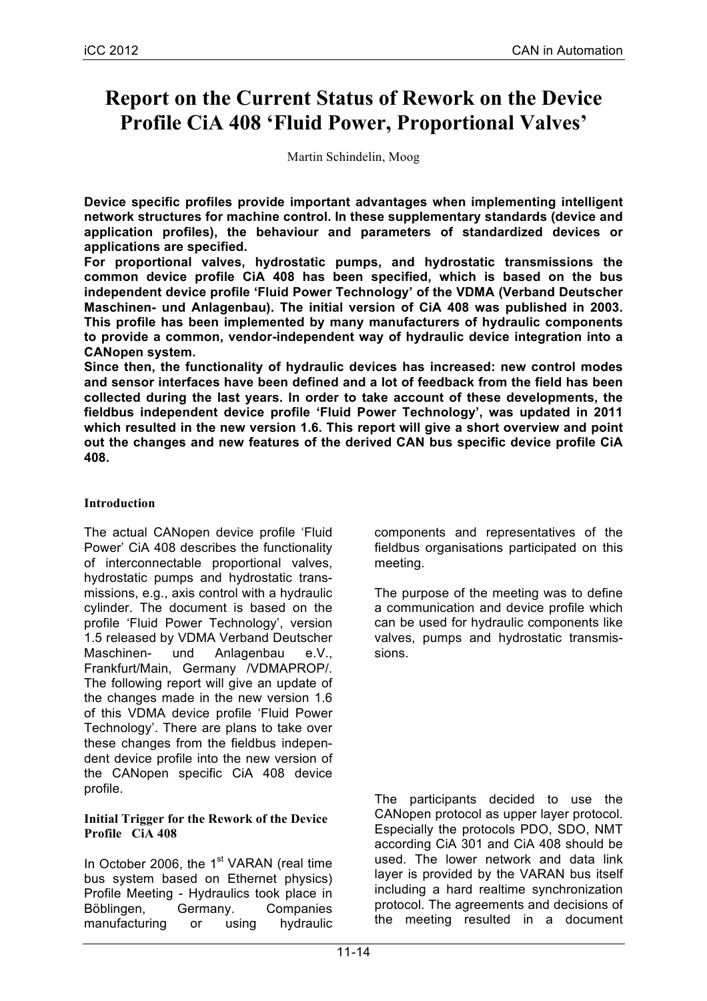# **Report on the Current Status of Rework on the Device Profile CiA 408 'Fluid Power, Proportional Valves'**

Martin Schindelin, Moog

**Device specific profiles provide important advantages when implementing intelligent network structures for machine control. In these supplementary standards (device and application profiles), the behaviour and parameters of standardized devices or applications are specified.** 

**For proportional valves, hydrostatic pumps, and hydrostatic transmissions the common device profile CiA 408 has been specified, which is based on the bus independent device profile 'Fluid Power Technology' of the VDMA (Verband Deutscher Maschinen- und Anlagenbau). The initial version of CiA 408 was published in 2003. This profile has been implemented by many manufacturers of hydraulic components to provide a common, vendor-independent way of hydraulic device integration into a CANopen system.**

**Since then, the functionality of hydraulic devices has increased: new control modes and sensor interfaces have been defined and a lot of feedback from the field has been collected during the last years. In order to take account of these developments, the fieldbus independent device profile 'Fluid Power Technology', was updated in 2011 which resulted in the new version 1.6. This report will give a short overview and point out the changes and new features of the derived CAN bus specific device profile CiA 408.** 

# **Introduction**

The actual CANopen device profile 'Fluid Power' CiA 408 describes the functionality of interconnectable proportional valves, hydrostatic pumps and hydrostatic transmissions, e.g., axis control with a hydraulic cylinder. The document is based on the profile 'Fluid Power Technology', version 1.5 released by VDMA Verband Deutscher Maschinen- und Anlagenbau e.V., Frankfurt/Main, Germany /VDMAPROP/. The following report will give an update of the changes made in the new version 1.6 of this VDMA device profile 'Fluid Power Technology'. There are plans to take over these changes from the fieldbus independent device profile into the new version of the CANopen specific CiA 408 device profile.

#### **Initial Trigger for the Rework of the Device Profile CiA 408**

In October 2006, the  $1<sup>st</sup>$  VARAN (real time bus system based on Ethernet physics) Profile Meeting - Hydraulics took place in Böblingen, Germany. Companies manufacturing or using hydraulic

components and representatives of the fieldbus organisations participated on this meeting.

The purpose of the meeting was to define a communication and device profile which can be used for hydraulic components like valves, pumps and hydrostatic transmissions.

The participants decided to use the CANopen protocol as upper layer protocol. Especially the protocols PDO, SDO, NMT according CiA 301 and CiA 408 should be used. The lower network and data link layer is provided by the VARAN bus itself including a hard realtime synchronization protocol. The agreements and decisions of the meeting resulted in a document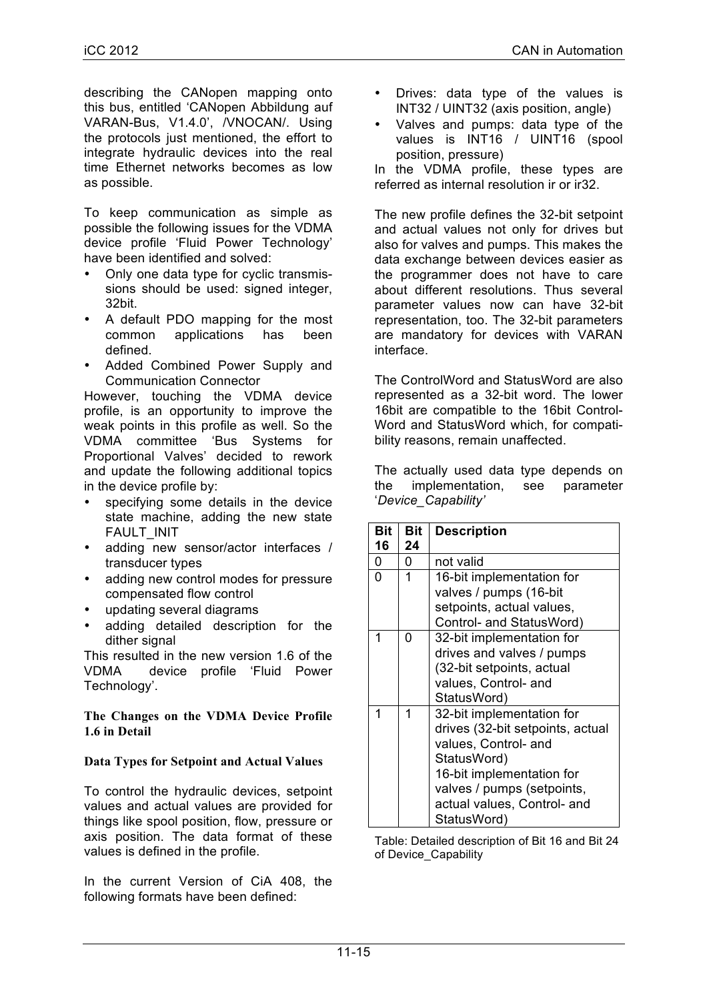describing the CANopen mapping onto this bus, entitled 'CANopen Abbildung auf VARAN-Bus, V1.4.0', /VNOCAN/. Using the protocols just mentioned, the effort to integrate hydraulic devices into the real time Ethernet networks becomes as low as possible.

To keep communication as simple as possible the following issues for the VDMA device profile 'Fluid Power Technology' have been identified and solved:

- Only one data type for cyclic transmissions should be used: signed integer, 32bit.
- A default PDO mapping for the most common applications has been defined.
- Added Combined Power Supply and Communication Connector

However, touching the VDMA device profile, is an opportunity to improve the weak points in this profile as well. So the VDMA committee 'Bus Systems for Proportional Valves' decided to rework and update the following additional topics in the device profile by:

- specifying some details in the device state machine, adding the new state FAULT\_INIT
- adding new sensor/actor interfaces / transducer types
- adding new control modes for pressure compensated flow control
- updating several diagrams
- adding detailed description for the dither signal

This resulted in the new version 1.6 of the VDMA device profile 'Fluid Power Technology'.

**The Changes on the VDMA Device Profile 1.6 in Detail** 

# **Data Types for Setpoint and Actual Values**

To control the hydraulic devices, setpoint values and actual values are provided for things like spool position, flow, pressure or axis position. The data format of these values is defined in the profile.

In the current Version of CiA 408, the following formats have been defined:

- Drives: data type of the values is INT32 / UINT32 (axis position, angle)
- Valves and pumps: data type of the values is INT16 / UINT16 (spool position, pressure)

In the VDMA profile, these types are referred as internal resolution ir or ir32.

The new profile defines the 32-bit setpoint and actual values not only for drives but also for valves and pumps. This makes the data exchange between devices easier as the programmer does not have to care about different resolutions. Thus several parameter values now can have 32-bit representation, too. The 32-bit parameters are mandatory for devices with VARAN interface.

The ControlWord and StatusWord are also represented as a 32-bit word. The lower 16bit are compatible to the 16bit Control-Word and StatusWord which, for compatibility reasons, remain unaffected.

The actually used data type depends on the implementation, see parameter '*Device\_Capability'*

| <b>Bit</b> | <b>Bit</b> | <b>Description</b>               |
|------------|------------|----------------------------------|
| 16         | 24         |                                  |
| 0          | 0          | not valid                        |
| 0          | 1          | 16-bit implementation for        |
|            |            | valves / pumps (16-bit           |
|            |            | setpoints, actual values,        |
|            |            | Control- and StatusWord)         |
| 1          | 0          | 32-bit implementation for        |
|            |            | drives and valves / pumps        |
|            |            | (32-bit setpoints, actual        |
|            |            | values, Control- and             |
|            |            | StatusWord)                      |
| 1          | 1          | 32-bit implementation for        |
|            |            | drives (32-bit setpoints, actual |
|            |            | values, Control- and             |
|            |            | StatusWord)                      |
|            |            | 16-bit implementation for        |
|            |            | valves / pumps (setpoints,       |
|            |            | actual values, Control- and      |
|            |            | StatusWord)                      |

Table: Detailed description of Bit 16 and Bit 24 of Device\_Capability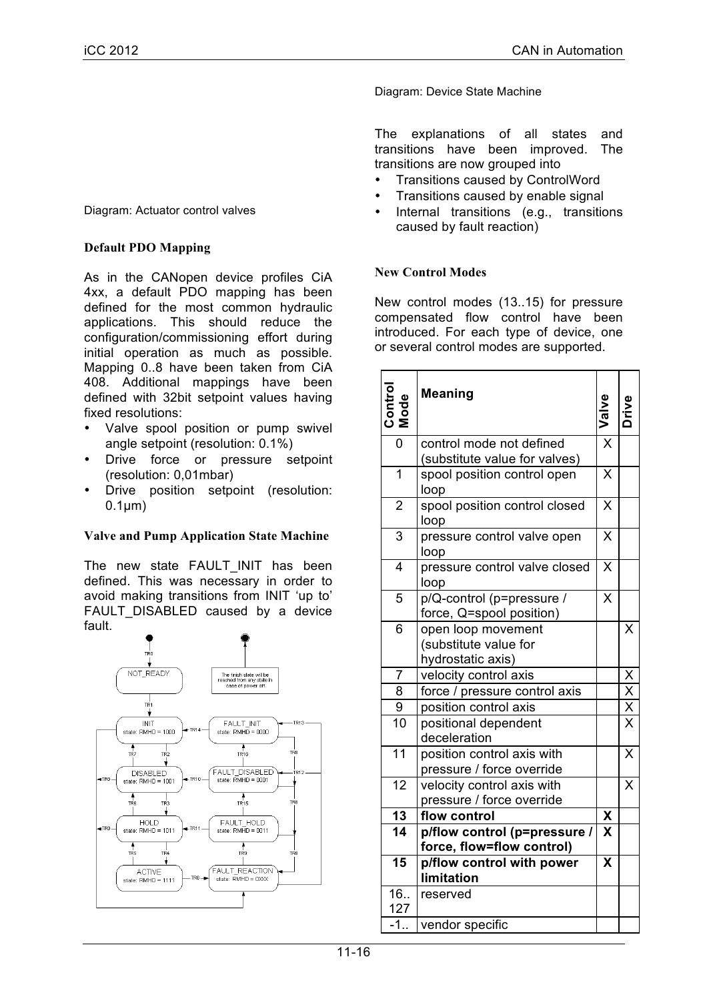Diagram: Device State Machine

The explanations of all states and transitions have been improved. The transitions are now grouped into

- Transitions caused by ControlWord
- Transitions caused by enable signal
- Internal transitions (e.g., transitions caused by fault reaction)

## **New Control Modes**

New control modes (13..15) for pressure compensated flow control have been introduced. For each type of device, one or several control modes are supported.

| Control<br>Mode | <b>Meaning</b>                                                   |             | Drive                          |
|-----------------|------------------------------------------------------------------|-------------|--------------------------------|
| $\overline{0}$  | control mode not defined<br>(substitute value for valves)        |             |                                |
| $\overline{1}$  | spool position control open<br>loop                              |             |                                |
| $\overline{2}$  | spool position control closed<br>loop                            |             |                                |
| 3               | pressure control valve open<br>loop                              |             |                                |
| $\overline{4}$  | pressure control valve closed<br>loop                            |             |                                |
| 5               | p/Q-control (p=pressure /<br>force, Q=spool position)            | X           |                                |
| 6               | open loop movement<br>(substitute value for<br>hydrostatic axis) |             | X                              |
| 7               | velocity control axis                                            |             |                                |
| $\overline{8}$  | force / pressure control axis                                    |             | $\frac{X}{X}$<br>$\frac{X}{X}$ |
| 9               | position control axis                                            |             |                                |
| 10              | positional dependent<br>deceleration                             |             |                                |
| $\overline{11}$ | position control axis with<br>pressure / force override          |             | X                              |
| 12              | velocity control axis with<br>pressure / force override          |             | X                              |
| 13              | flow control                                                     | X           |                                |
| $\overline{14}$ | p/flow control (p=pressure /<br>force, flow=flow control)        | $\mathbf x$ |                                |
| $\overline{15}$ | p/flow control with power<br>limitation                          | X           |                                |
| 16.             | reserved                                                         |             |                                |
| 127             |                                                                  |             |                                |
| $-1.$           | vendor specific                                                  |             |                                |

Diagram: Actuator control valves

### **Default PDO Mapping**

As in the CANopen device profiles CiA 4xx, a default PDO mapping has been defined for the most common hydraulic applications. This should reduce the configuration/commissioning effort during initial operation as much as possible. Mapping 0..8 have been taken from CiA 408. Additional mappings have been defined with 32bit setpoint values having fixed resolutions:

- Valve spool position or pump swivel angle setpoint (resolution: 0.1%)
- Drive force or pressure setpoint (resolution: 0,01mbar)
- Drive position setpoint (resolution:  $0.1 \mu m$ )

#### **Valve and Pump Application State Machine**

The new state FAULT INIT has been defined. This was necessary in order to avoid making transitions from INIT 'up to' FAULT DISABLED caused by a device fault.

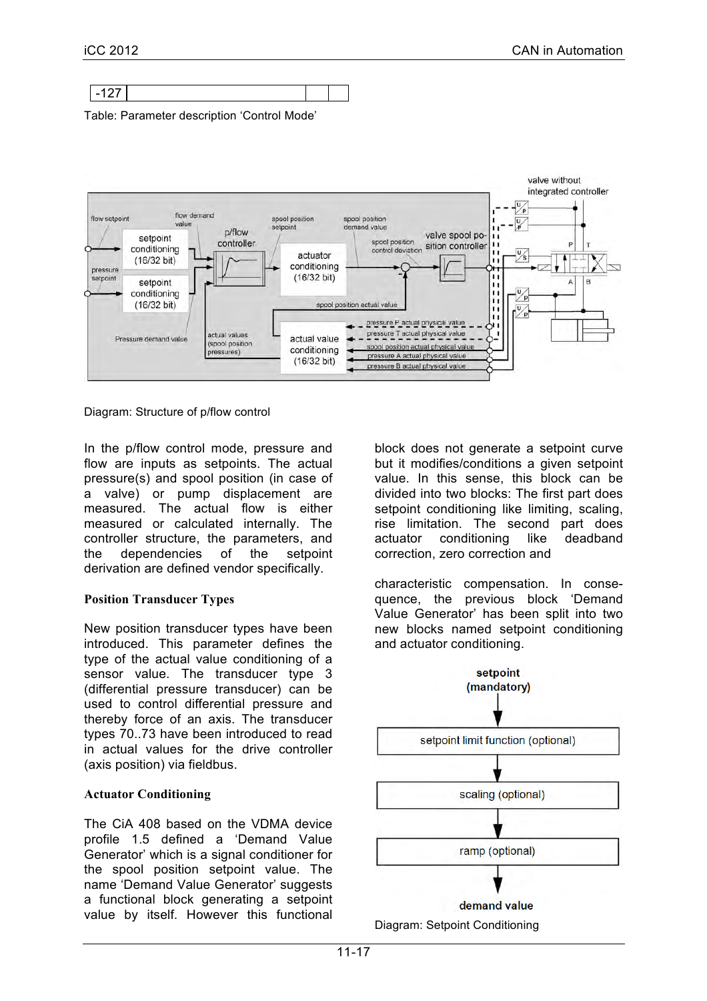

Table: Parameter description 'Control Mode'



Diagram: Structure of p/flow control

In the p/flow control mode, pressure and flow are inputs as setpoints. The actual pressure(s) and spool position (in case of a valve) or pump displacement are measured. The actual flow is either measured or calculated internally. The controller structure, the parameters, and the dependencies of the setpoint derivation are defined vendor specifically.

#### **Position Transducer Types**

New position transducer types have been introduced. This parameter defines the type of the actual value conditioning of a sensor value. The transducer type 3 (differential pressure transducer) can be used to control differential pressure and thereby force of an axis. The transducer types 70..73 have been introduced to read in actual values for the drive controller (axis position) via fieldbus.

#### **Actuator Conditioning**

The CiA 408 based on the VDMA device profile 1.5 defined a 'Demand Value Generator' which is a signal conditioner for the spool position setpoint value. The name 'Demand Value Generator' suggests a functional block generating a setpoint value by itself. However this functional block does not generate a setpoint curve but it modifies/conditions a given setpoint value. In this sense, this block can be divided into two blocks: The first part does setpoint conditioning like limiting, scaling, rise limitation. The second part does actuator conditioning like deadband correction, zero correction and

characteristic compensation. In consequence, the previous block 'Demand Value Generator' has been split into two new blocks named setpoint conditioning and actuator conditioning.



Diagram: Setpoint Conditioning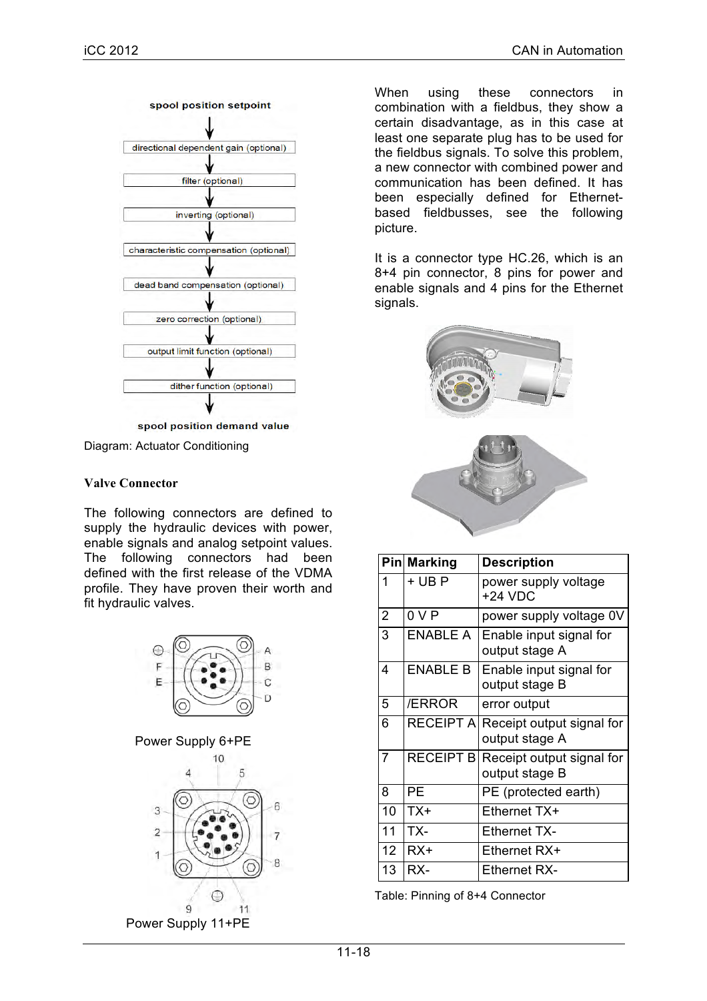

Diagram: Actuator Conditioning

#### **Valve Connector**

The following connectors are defined to supply the hydraulic devices with power. enable signals and analog setpoint values. The following connectors had been defined with the first release of the VDMA profile. They have proven their worth and fit hydraulic valves.



When using these connectors in combination with a fieldbus, they show a certain disadvantage, as in this case at least one separate plug has to be used for the fieldbus signals. To solve this problem, a new connector with combined power and communication has been defined. It has been especially defined for Ethernetbased fieldbusses, see the following picture.

It is a connector type HC.26, which is an 8+4 pin connector, 8 pins for power and enable signals and 4 pins for the Ethernet signals.



|                | <b>Pin Marking</b> | <b>Description</b>                          |  |
|----------------|--------------------|---------------------------------------------|--|
| 1              | + UB P             | power supply voltage<br>$+24$ VDC           |  |
| $\overline{2}$ | 0 V P              | power supply voltage 0V                     |  |
| 3              | <b>ENABLE A</b>    | Enable input signal for<br>output stage A   |  |
| 4              | <b>ENABLE B</b>    | Enable input signal for<br>output stage B   |  |
| 5              | /ERROR             | error output                                |  |
| 6              | <b>RECEIPT A</b>   | Receipt output signal for<br>output stage A |  |
| $\overline{7}$ | <b>RECEIPT B</b>   | Receipt output signal for<br>output stage B |  |
| 8              | PE                 | PE (protected earth)                        |  |
| 10             | TX+                | Ethernet TX+                                |  |
| 11             | TX-                | <b>Ethernet TX-</b>                         |  |
| 12             | RX+                | Ethernet RX+                                |  |
| 13             | RX-                | Ethernet RX-                                |  |

Table: Pinning of 8+4 Connector